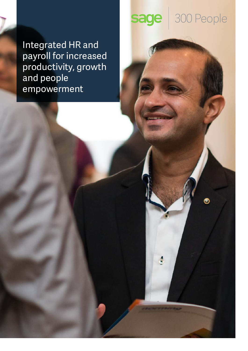Integrated HR and payroll for increased productivity, growth and people empowerment

# sage 300 People

Ó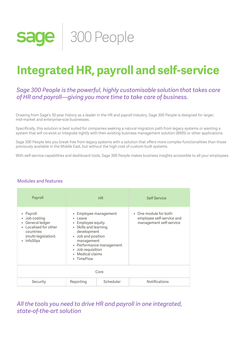

# **Integrated HR, payroll and self-service**

## *Sage 300 People is the powerful, highly customisable solution that takes care of HR and payroll—giving you more time to take care of business.*

Drawing from Sage's 30-year history as a leader in the HR and payroll industry, Sage 300 People is designed for larger, mid-market and enterprise-size businesses.

br<br>ut Specifically, this solution is best suited for companies seeking a natural migration path from legacy systems or wanting a system that will co-exist or integrate tightly with their existing business management solution (BMS) or other applications.

Sage 300 People lets you break free from legacy systems with a solution that offers more complex functionalities than those previously available in the Middle East, but without the high cost of custom-built systems.

With self-service capabilities and dashboard tools, Sage 300 People makes business insights accessible to all your employees.

#### Modules and features

| Payroll                                                                                                                  | <b>HR</b>                                                                                                                                                                                                            |           | <b>Self Service</b>                                                           |
|--------------------------------------------------------------------------------------------------------------------------|----------------------------------------------------------------------------------------------------------------------------------------------------------------------------------------------------------------------|-----------|-------------------------------------------------------------------------------|
| • Payroll<br>• Job costing<br>General ledger<br>• Localised for other<br>countries<br>(multi-legislation)<br>• InfoSlips | • Employee management<br>• Leave<br>• Employee equity<br>• Skills and learning<br>development<br>• Job and position<br>management<br>• Performance management<br>• Job requisition<br>• Medical claims<br>• TimeFlow |           | • One module for both<br>employee self-service and<br>management self-service |
| Core                                                                                                                     |                                                                                                                                                                                                                      |           |                                                                               |
| Security                                                                                                                 | Reporting                                                                                                                                                                                                            | Scheduler | <b>Notifications</b>                                                          |

*All the tools you need to drive HR and payroll in one integrated, state-of-the-art solution*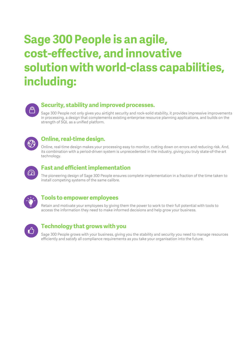# The only account on a counting and payroll solution your business will be an annual solution your business will ever need. Sage 300 People is an agile,  **cost-effective, and innovative solution with world-class capabilities, including:**



# **Security, stability and improved processes.**  $\blacksquare$

You can create recurring and non-recurring debit orders online and oage 500 Feopie not only gives you all tight security and rock-solid stability, it provides impressive improvements<br>In processing, a design that complements existing enterprise resource planning applications, and builds on Sage 300 People not only gives you airtight security and rock-solid stability, it provides impressive improvements strength of SQL as a unified platform.



## **Online, real-time design.**

Online, real-time design makes your processing easy to monitor, cutting down on errors and reducing risk. And, its combination with a period-driven system is unprecedented in the industry, giving you truly state-of-the-art technology.



## **Fast and efficient implementation**

*PAY NOW GATEWAY* The pioneering design of Sage 300 People ensures complete implementation in a fraction of the time taken to install competing systems of the same calibre.



## **Tools to empower employees**

Access the information they need to make informed decisions and help grow your business. Retain and motivate your employees by giving them the power to work to their full potential with tools to



## **Technology that grows with you**

Sage 300 People grows with your business, giving you the stability and security you need to manage resources efficiently and satisfy all compliance requirements as you take your organisation into the future.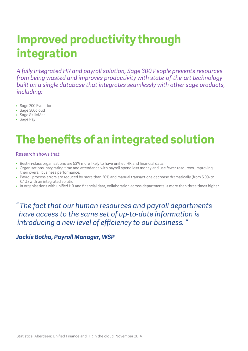# $T$ **Improved productivity through integration**

*5 from being wasted and improves productivity with state-of-the-art technology A fully integrated HR and payroll solution, Sage 300 People prevents resources built on a single database that integrates seamlessly with other sage products, including:*

- 
- $\ddotsc$ • Sage 200 Evolution<br>• Sage 300cloud<br>• Sage SkillsMap • Sage 300cloud
	- Sage SkillsMap
	- Sage Pay

# **The benefits of an integrated solution**

#### Research shows that:

- Best-in-class organisations are 53% more likely to have unified HR and financial data.
- *7* their overall business performance. • Organisations integrating time and attendance with payroll spend less money and use fewer resources, improving
- Payroll process errors are reduced by more than 20% and manual transactions decrease dramatically (from 5.9% to 0.1%) with an integrated solution.
- In organisations with unified HR and financial data, collaboration across departments is more than three times higher.

*9 " The fact that our human resources and payroll departments have access to the same set of up-to-date information is introducing a new level of efficiency to our business. "*

## *Jackie Botha, Payroll Manager, WSP*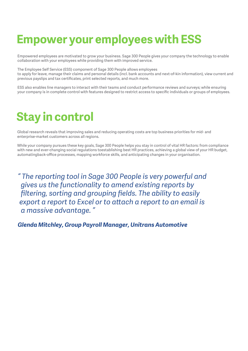# **Empower your employees with ESS**

Empowered employees are motivated to grow your business. Sage 300 People gives your company the technology to enable collaboration with your employees while providing them with improved service.

The Employee Self Service (ESS) component of Sage 300 People allows employees to apply for leave, manage their claims and personal details (incl. bank accounts and next-of-kin information), view current and previous payslips and tax certificates, print selected reports, and much more.

ESS also enables line managers to interact with their teams and conduct performance reviews and surveys; while ensuring your company is in complete control with features designed to restrict access to specific individuals or groups of employees.

# **Stay in control**

Global research reveals that improving sales and reducing operating costs are top business priorities for mid- and enterprise-market customers across all regions.

While your company pursues these key goals, Sage 300 People helps you stay in control of vital HR factors: from compliance with new and ever-changing social regulations toestablishing best HR practices, achieving a global view of your HR budget, automatingback-office processes, mapping workforce skills, and anticipating changes in your organisation.

*" The reporting tool in Sage 300 People is very powerful and gives us the functionality to amend existing reports by filtering, sorting and grouping fields. The ability to easily export a report to Excel or to attach a report to an email is a massive advantage. "*

## *Glenda Mitchley, Group Payroll Manager, Unitrans Automotive*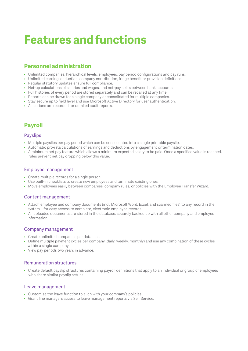# **Features and functions**

# **Personnel administration**

- Unlimited companies, hierarchical levels, employees, pay period configurations and pay runs.
- Unlimited earning, deduction, company contribution, fringe benefit or provision definitions.
- Regular statutory updates ensure full compliance.
- Net-up calculations of salaries and wages, and net-pay splits between bank accounts.
- Full histories of every period are stored separately and can be recalled at any time.
- Reports can be drawn for a single company or consolidated for multiple companies.
- Stay secure up to field level and use Microsoft Active Directory for user authentication.
- All actions are recorded for detailed audit reports.

# **Payroll**

#### Payslips

- Multiple payslips per pay period which can be consolidated into a single printable payslip.
- Automatic pro-rata calculations of earnings and deductions by engagement or termination dates.
- A minimum net pay feature which allows a minimum expected salary to be paid. Once a specified value is reached, rules prevent net pay dropping below this value.

#### Employee management

- Create multiple records for a single person.
- Use built-in checklists to create new employees and terminate existing ones.
- Move employees easily between companies, company rules, or policies with the Employee Transfer Wizard.

#### Content management

- Attach employee and company documents (incl. Microsoft Word, Excel, and scanned files) to any record in the system—for easy access to complete, electronic employee records.
- All uploaded documents are stored in the database, securely backed up with all other company and employee information.

#### Company management

- Create unlimited companies per database.
- Define multiple payment cycles per company (daily, weekly, monthly) and use any combination of these cycles within a single company.
- View pay periods two years in advance.

#### Remuneration structures

• Create default payslip structures containing payroll definitions that apply to an individual or group of employees who share similar payslip setups.

#### Leave management

- Customise the leave function to align with your company's policies.
- Grant line managers access to leave management reports via Self Service.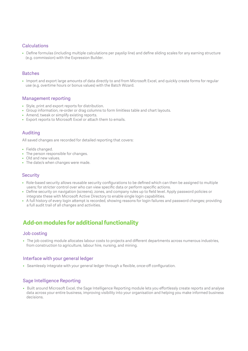#### Calculations

• Define formulas (including multiple calculations per payslip line) and define sliding scales for any earning structure (e.g. commission) with the Expression Builder.

#### Batches

• Import and export large amounts of data directly to and from Microsoft Excel, and quickly create forms for regular use (e.g. overtime hours or bonus values) with the Batch Wizard.

#### Management reporting

- Style, print and export reports for distribution.
- Group information, re-order or drag columns to form limitless table and chart layouts.
- Amend, tweak or simplify existing reports.
- Export reports to Microsoft Excel or attach them to emails.

#### Auditing

All saved changes are recorded for detailed reporting that covers:

- Fields changed.
- The person responsible for changes.
- Old and new values.
- The date/s when changes were made.

#### **Security**

- Role-based security allows reusable security configurations to be defined which can then be assigned to multiple users; for stricter control over who can view specific data or perform specific actions.
- Define security on navigation (screens), zones, and company rules up to field level. Apply password policies or integrate these with Microsoft Active Directory to enable single login capabilities.
- A full history of every login attempt is recorded, showing reasons for login failures and password changes; providing a full audit trail of all changes and activities.

# **Add-on modules for additional functionality**

#### Job costing

• The job costing module allocates labour costs to projects and different departments across numerous industries, from construction to agriculture, labour hire, nursing, and mining.

#### Interface with your general ledger

• Seamlessly integrate with your general ledger through a flexible, once-off configuration.

#### Sage Intelligence Reporting

• Built around Microsoft Excel, the Sage Intelligence Reporting module lets you effortlessly create reports and analyse data across your entire business, improving visibility into your organisation and helping you make informed business decisions.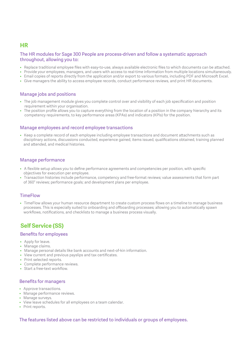### **HR**

#### The HR modules for Sage 300 People are process-driven and follow a systematic approach throughout, allowing you to:

- Replace traditional employee files with easy-to-use, always available electronic files to which documents can be attached.
- Provide your employees, managers, and users with access to real-time information from multiple locations simultaneously.
- Email copies of reports directly from the application and/or export to various formats, including PDF and Microsoft Excel.
- Give managers the ability to access employee records, conduct performance reviews, and print HR documents.

#### Manage jobs and positions

- The job management module gives you complete control over and visibility of each job specification and position requirement within your organisation.
- The position profile allows you to capture everything from the location of a position in the company hierarchy and its competency requirements, to key performance areas (KPAs) and indicators (KPIs) for the position.

#### Manage employees and record employee transactions

• Keep a complete record of each employee including employee transactions and document attachments such as disciplinary actions, discussions conducted, experience gained, items issued, qualifications obtained, training planned and attended, and medical histories.

#### Manage performance

- A flexible setup allows you to define performance agreements and competencies per position, with specific objectives for execution per employee.
- Transaction histories include performance, competency and free-format reviews; value assessments that form part of 360° reviews; performance goals; and development plans per employee.

#### **TimeFlow**

• TimeFlow allows your human resource department to create custom process flows on a timeline to manage business processes. This is especially suited to onboarding and offboarding processes; allowing you to automatically spawn workflows, notifications, and checklists to manage a business process visually.

# **Self Service (SS)**

#### Benefits for employees

- Apply for leave.
- Manage claims.
- Manage personal details like bank accounts and next-of-kin information.
- View current and previous payslips and tax certificates.
- Print selected reports.
- Complete performance reviews.
- Start a free-text workflow.

#### Benefits for managers

- Approve transactions.
- Manage performance reviews.
- Manage surveys.
- View leave schedules for all employees on a team calendar.
- Print reports.

#### The features listed above can be restricted to individuals or groups of employees.